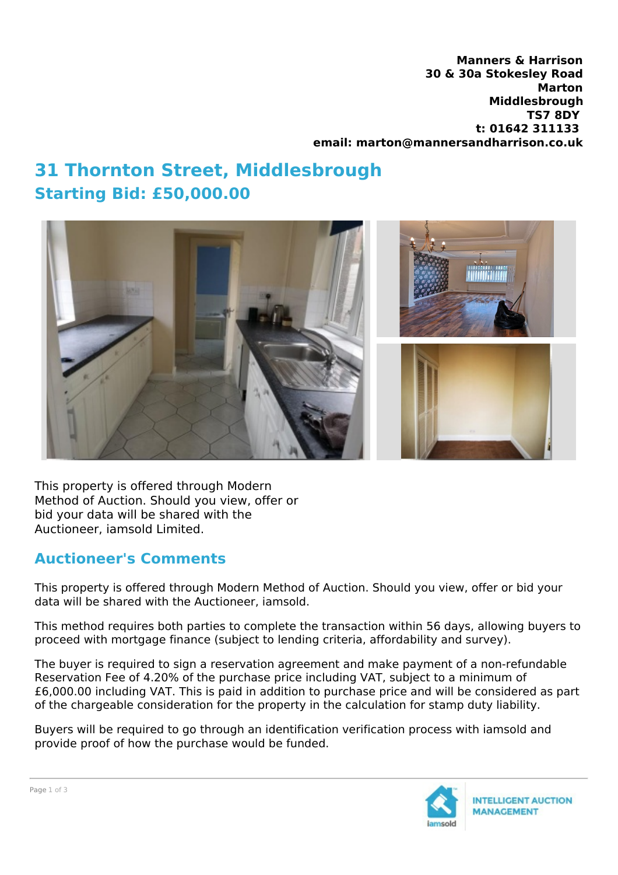**Manners & Harrison 30 & 30a Stokesley Road Marton Middlesbrough TS7 8DY t: 01642 311133 email: marton@mannersandharrison.co.uk**

## **31 Thornton Street, Middlesbrough Starting Bid: £50,000.00**



This property is offered through Modern Method of Auction. Should you view, offer or bid your data will be shared with the Auctioneer, iamsold Limited.

## **Auctioneer's Comments**

This property is offered through Modern Method of Auction. Should you view, offer or bid your data will be shared with the Auctioneer, iamsold.

This method requires both parties to complete the transaction within 56 days, allowing buyers to proceed with mortgage finance (subject to lending criteria, affordability and survey).

The buyer is required to sign a reservation agreement and make payment of a non-refundable Reservation Fee of 4.20% of the purchase price including VAT, subject to a minimum of £6,000.00 including VAT. This is paid in addition to purchase price and will be considered as part of the chargeable consideration for the property in the calculation for stamp duty liability.

Buyers will be required to go through an identification verification process with iamsold and provide proof of how the purchase would be funded.

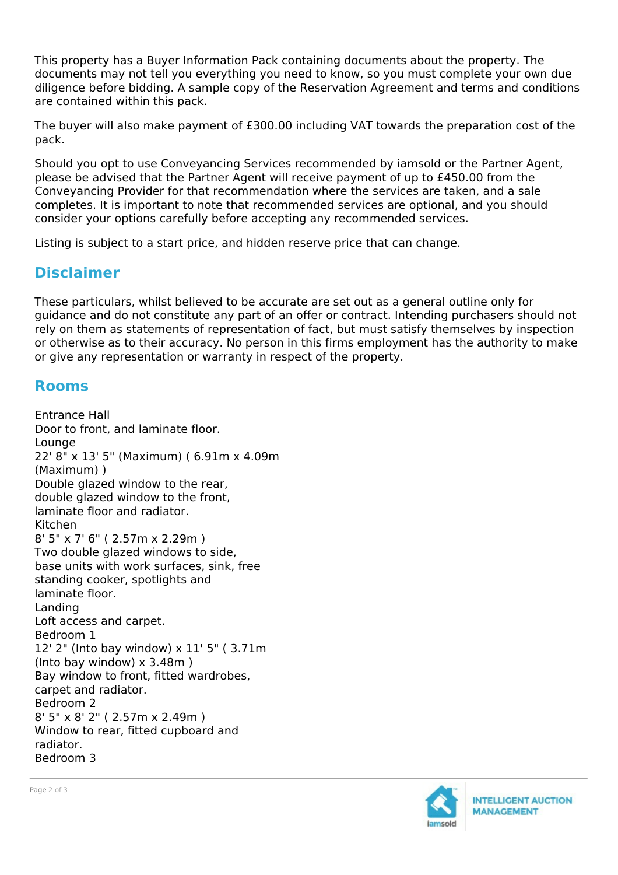This property has a Buyer Information Pack containing documents about the property. The documents may not tell you everything you need to know, so you must complete your own due diligence before bidding. A sample copy of the Reservation Agreement and terms and conditions are contained within this pack.

The buyer will also make payment of £300.00 including VAT towards the preparation cost of the pack.

Should you opt to use Conveyancing Services recommended by iamsold or the Partner Agent, please be advised that the Partner Agent will receive payment of up to £450.00 from the Conveyancing Provider for that recommendation where the services are taken, and a sale completes. It is important to note that recommended services are optional, and you should consider your options carefully before accepting any recommended services.

Listing is subject to a start price, and hidden reserve price that can change.

## **Disclaimer**

These particulars, whilst believed to be accurate are set out as a general outline only for guidance and do not constitute any part of an offer or contract. Intending purchasers should not rely on them as statements of representation of fact, but must satisfy themselves by inspection or otherwise as to their accuracy. No person in this firms employment has the authority to make or give any representation or warranty in respect of the property.

## **Rooms**

Entrance Hall Door to front, and laminate floor. Lounge 22' 8" x 13' 5" (Maximum) ( 6.91m x 4.09m (Maximum) ) Double glazed window to the rear, double glazed window to the front, laminate floor and radiator. Kitchen 8' 5" x 7' 6" ( 2.57m x 2.29m ) Two double glazed windows to side, base units with work surfaces, sink, free standing cooker, spotlights and laminate floor. Landing Loft access and carpet. Bedroom 1 12' 2" (Into bay window) x 11' 5" ( 3.71m (Into bay window) x 3.48m ) Bay window to front, fitted wardrobes, carpet and radiator. Bedroom 2 8' 5" x 8' 2" ( 2.57m x 2.49m ) Window to rear, fitted cupboard and radiator. Bedroom 3